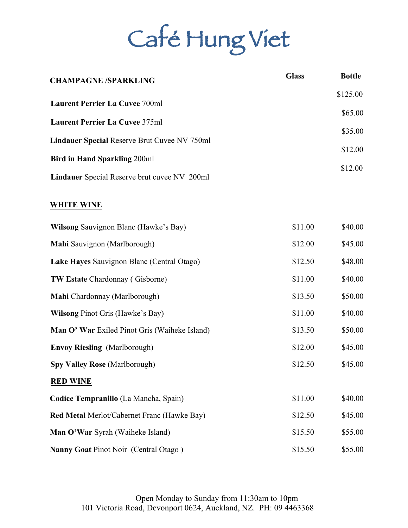# Café Hung Viet

| <b>CHAMPAGNE /SPARKLING</b>                         | <b>Glass</b> | <b>Bottle</b> |
|-----------------------------------------------------|--------------|---------------|
|                                                     |              | \$125.00      |
| <b>Laurent Perrier La Cuvee 700ml</b>               |              | \$65.00       |
| <b>Laurent Perrier La Cuvee 375ml</b>               |              | \$35.00       |
| <b>Lindauer Special Reserve Brut Cuvee NV 750ml</b> |              | \$12.00       |
| <b>Bird in Hand Sparkling 200ml</b>                 |              |               |
| <b>Lindauer</b> Special Reserve brut cuvee NV 200ml |              | \$12.00       |

# **WHITE WINE**

| Wilsong Sauvignon Blanc (Hawke's Bay)         | \$11.00 | \$40.00 |
|-----------------------------------------------|---------|---------|
| Mahi Sauvignon (Marlborough)                  | \$12.00 | \$45.00 |
| Lake Hayes Sauvignon Blanc (Central Otago)    | \$12.50 | \$48.00 |
| <b>TW Estate Chardonnay (Gisborne)</b>        | \$11.00 | \$40.00 |
| Mahi Chardonnay (Marlborough)                 | \$13.50 | \$50.00 |
| <b>Wilsong Pinot Gris (Hawke's Bay)</b>       | \$11.00 | \$40.00 |
| Man O' War Exiled Pinot Gris (Waiheke Island) | \$13.50 | \$50.00 |
| <b>Envoy Riesling</b> (Marlborough)           | \$12.00 | \$45.00 |
| <b>Spy Valley Rose (Marlborough)</b>          | \$12.50 | \$45.00 |
| <b>RED WINE</b>                               |         |         |
| Codice Tempranillo (La Mancha, Spain)         | \$11.00 | \$40.00 |
| Red Metal Merlot/Cabernet Franc (Hawke Bay)   | \$12.50 | \$45.00 |
| Man O'War Syrah (Waiheke Island)              | \$15.50 | \$55.00 |
| <b>Nanny Goat Pinot Noir (Central Otago)</b>  | \$15.50 | \$55.00 |

Open Monday to Sunday from 11:30am to 10pm 101 Victoria Road, Devonport 0624, Auckland, NZ. PH: 09 4463368